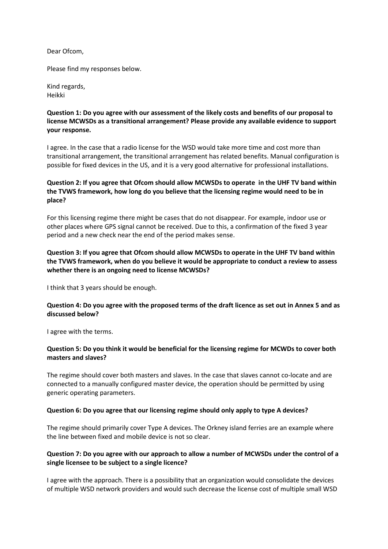Dear Ofcom,

Please find my responses below.

Kind regards, Heikki

# **Question 1: Do you agree with our assessment of the likely costs and benefits of our proposal to license MCWSDs as a transitional arrangement? Please provide any available evidence to support your response.**

I agree. In the case that a radio license for the WSD would take more time and cost more than transitional arrangement, the transitional arrangement has related benefits. Manual configuration is possible for fixed devices in the US, and it is a very good alternative for professional installations.

# **Question 2: If you agree that Ofcom should allow MCWSDs to operate in the UHF TV band within the TVWS framework, how long do you believe that the licensing regime would need to be in place?**

For this licensing regime there might be cases that do not disappear. For example, indoor use or other places where GPS signal cannot be received. Due to this, a confirmation of the fixed 3 year period and a new check near the end of the period makes sense.

# **Question 3: If you agree that Ofcom should allow MCWSDs to operate in the UHF TV band within the TVWS framework, when do you believe it would be appropriate to conduct a review to assess whether there is an ongoing need to license MCWSDs?**

I think that 3 years should be enough.

## **Question 4: Do you agree with the proposed terms of the draft licence as set out in Annex 5 and as discussed below?**

I agree with the terms.

## **Question 5: Do you think it would be beneficial for the licensing regime for MCWDs to cover both masters and slaves?**

The regime should cover both masters and slaves. In the case that slaves cannot co-locate and are connected to a manually configured master device, the operation should be permitted by using generic operating parameters.

## **Question 6: Do you agree that our licensing regime should only apply to type A devices?**

The regime should primarily cover Type A devices. The Orkney island ferries are an example where the line between fixed and mobile device is not so clear.

## **Question 7: Do you agree with our approach to allow a number of MCWSDs under the control of a single licensee to be subject to a single licence?**

I agree with the approach. There is a possibility that an organization would consolidate the devices of multiple WSD network providers and would such decrease the license cost of multiple small WSD